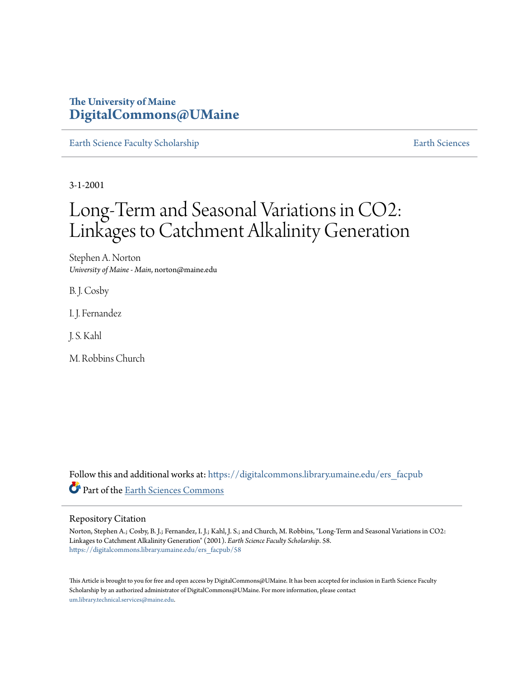## **The University of Maine [DigitalCommons@UMaine](https://digitalcommons.library.umaine.edu?utm_source=digitalcommons.library.umaine.edu%2Fers_facpub%2F58&utm_medium=PDF&utm_campaign=PDFCoverPages)**

[Earth Science Faculty Scholarship](https://digitalcommons.library.umaine.edu/ers_facpub?utm_source=digitalcommons.library.umaine.edu%2Fers_facpub%2F58&utm_medium=PDF&utm_campaign=PDFCoverPages) **[Earth Sciences](https://digitalcommons.library.umaine.edu/ers?utm_source=digitalcommons.library.umaine.edu%2Fers_facpub%2F58&utm_medium=PDF&utm_campaign=PDFCoverPages)** 

3-1-2001

# Long-Term and Seasonal Variations in CO2: Linkages to Catchment Alkalinity Generation

Stephen A. Norton *University of Maine - Main*, norton@maine.edu

B. J. Cosby

I. J. Fernandez

J. S. Kahl

M. Robbins Church

Follow this and additional works at: [https://digitalcommons.library.umaine.edu/ers\\_facpub](https://digitalcommons.library.umaine.edu/ers_facpub?utm_source=digitalcommons.library.umaine.edu%2Fers_facpub%2F58&utm_medium=PDF&utm_campaign=PDFCoverPages) Part of the [Earth Sciences Commons](http://network.bepress.com/hgg/discipline/153?utm_source=digitalcommons.library.umaine.edu%2Fers_facpub%2F58&utm_medium=PDF&utm_campaign=PDFCoverPages)

#### Repository Citation

Norton, Stephen A.; Cosby, B. J.; Fernandez, I. J.; Kahl, J. S.; and Church, M. Robbins, "Long-Term and Seasonal Variations in CO2: Linkages to Catchment Alkalinity Generation" (2001). *Earth Science Faculty Scholarship*. 58. [https://digitalcommons.library.umaine.edu/ers\\_facpub/58](https://digitalcommons.library.umaine.edu/ers_facpub/58?utm_source=digitalcommons.library.umaine.edu%2Fers_facpub%2F58&utm_medium=PDF&utm_campaign=PDFCoverPages)

This Article is brought to you for free and open access by DigitalCommons@UMaine. It has been accepted for inclusion in Earth Science Faculty Scholarship by an authorized administrator of DigitalCommons@UMaine. For more information, please contact [um.library.technical.services@maine.edu](mailto:um.library.technical.services@maine.edu).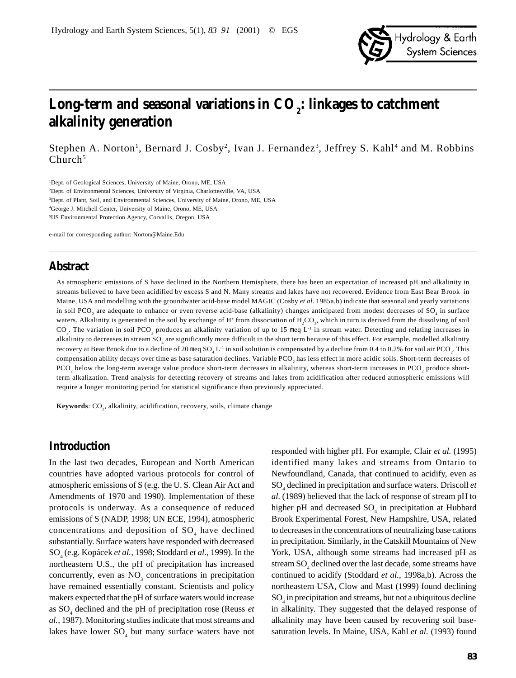

## Long-term and seasonal variations in CO<sub>2</sub>: linkages to catchment **alkalinity generation**

Stephen A. Norton<sup>1</sup>, Bernard J. Cosby<sup>2</sup>, Ivan J. Fernandez<sup>3</sup>, Jeffrey S. Kahl<sup>4</sup> and M. Robbins  $Church<sup>5</sup>$ 

<sup>1</sup>Dept. of Geological Sciences, University of Maine, Orono, ME, USA

2 Dept. of Environmental Sciences, University of Virginia, Charlottesville, VA, USA

3 Dept. of Plant, Soil, and Environmental Sciences, University of Maine, Orono, ME, USA

4 George J. Mitchell Center, University of Maine, Orono, ME, USA

5 US Environmental Protection Agency, Corvallis, Oregon, USA

e-mail for corresponding author: Norton@Maine.Edu

## **Abstract**

As atmospheric emissions of S have declined in the Northern Hemisphere, there has been an expectation of increased pH and alkalinity in streams believed to have been acidified by excess S and N. Many streams and lakes have not recovered. Evidence from East Bear Brook in Maine, USA and modelling with the groundwater acid-base model MAGIC (Cosby *et al.* 1985a,b) indicate that seasonal and yearly variations in soil PCO<sub>2</sub> are adequate to enhance or even reverse acid-base (alkalinity) changes anticipated from modest decreases of SO<sub>4</sub> in surface waters. Alkalinity is generated in the soil by exchange of H<sup>+</sup> from dissociation of  $H_2CO_3$ , which in turn is derived from the dissolving of soil  $CO_2$ . The variation in soil PCO<sub>2</sub> produces an alkalinity variation of up to 15 meq L<sup>-1</sup> in stream water. Detecting and relating increases in alkalinity to decreases in stream  ${SO_4}$  are significantly more difficult in the short term because of this effect. For example, modelled alkalinity recovery at Bear Brook due to a decline of 20 meq  $SO_4 L^{-1}$  in soil solution is compensated by a decline from 0.4 to 0.2% for soil air PCO<sub>2</sub>. This compensation ability decays over time as base saturation declines. Variable  $\text{PCO}_2$  has less effect in more acidic soils. Short-term decreases of  $PCO_2$  below the long-term average value produce short-term decreases in alkalinity, whereas short-term increases in  $PCO_2$  produce shortterm alkalization. Trend analysis for detecting recovery of streams and lakes from acidification after reduced atmospheric emissions will require a longer monitoring period for statistical significance than previously appreciated.

**Keywords**: CO<sub>2</sub>, alkalinity, acidification, recovery, soils, climate change

## **Introduction**

In the last two decades, European and North American countries have adopted various protocols for control of atmospheric emissions of S (e.g. the U. S. Clean Air Act and Amendments of 1970 and 1990). Implementation of these protocols is underway. As a consequence of reduced emissions of S (NADP, 1998; UN ECE, 1994), atmospheric concentrations and deposition of  $SO_4$  have declined substantially. Surface waters have responded with decreased SO4 (e.g. Kopácek *et al.*, 1998; Stoddard *et al.*, 1999). In the northeastern U.S., the pH of precipitation has increased concurrently, even as  $NO<sub>3</sub>$  concentrations in precipitation have remained essentially constant. Scientists and policy makers expected that the pH of surface waters would increase as SO<sub>4</sub> declined and the pH of precipitation rose (Reuss *et al.*, 1987). Monitoring studies indicate that most streams and lakes have lower  $SO_4$  but many surface waters have not

responded with higher pH. For example, Clair *et al.* (1995) identified many lakes and streams from Ontario to Newfoundland, Canada, that continued to acidify, even as SO4 declined in precipitation and surface waters. Driscoll *et al.* (1989) believed that the lack of response of stream pH to higher pH and decreased  $SO_4$  in precipitation at Hubbard Brook Experimental Forest, New Hampshire, USA, related to decreases in the concentrations of neutralizing base cations in precipitation. Similarly, in the Catskill Mountains of New York, USA, although some streams had increased pH as stream  $\text{SO}_4$  declined over the last decade, some streams have continued to acidify (Stoddard *et al.*, 1998a,b). Across the northeastern USA, Clow and Mast (1999) found declining  $\mathrm{SO}_4$  in precipitation and streams, but not a ubiquitous decline in alkalinity. They suggested that the delayed response of alkalinity may have been caused by recovering soil basesaturation levels. In Maine, USA, Kahl *et al.* (1993) found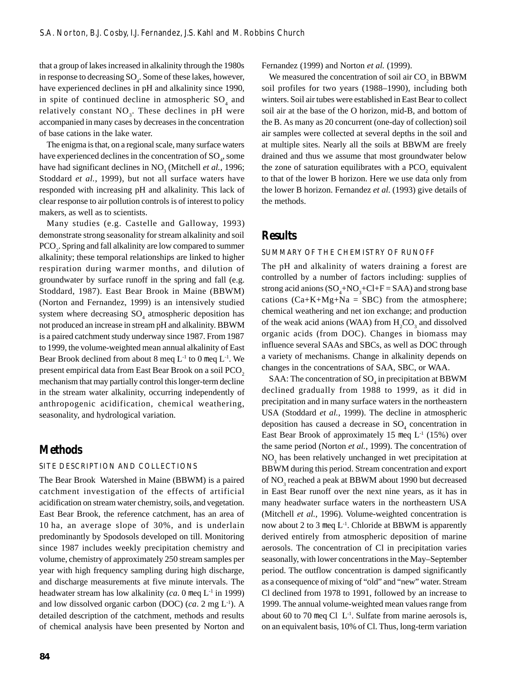that a group of lakes increased in alkalinity through the 1980s in response to decreasing  $SO_4$ . Some of these lakes, however, have experienced declines in pH and alkalinity since 1990, in spite of continued decline in atmospheric  $SO_4$  and relatively constant  $NO<sub>3</sub>$ . These declines in pH were accompanied in many cases by decreases in the concentration of base cations in the lake water.

The enigma is that, on a regional scale, many surface waters have experienced declines in the concentration of  ${SO_4}$ , some have had significant declines in  $NO_3$  (Mitchell *et al.*, 1996; Stoddard *et al.*, 1999), but not all surface waters have responded with increasing pH and alkalinity. This lack of clear response to air pollution controls is of interest to policy makers, as well as to scientists.

Many studies (e.g. Castelle and Galloway, 1993) demonstrate strong seasonality for stream alkalinity and soil  $\text{PCO}_2$ . Spring and fall alkalinity are low compared to summer alkalinity; these temporal relationships are linked to higher respiration during warmer months, and dilution of groundwater by surface runoff in the spring and fall (e.g. Stoddard, 1987). East Bear Brook in Maine (BBWM) (Norton and Fernandez, 1999) is an intensively studied system where decreasing  $SO_4$  atmospheric deposition has not produced an increase in stream pH and alkalinity. BBWM is a paired catchment study underway since 1987. From 1987 to 1999, the volume-weighted mean annual alkalinity of East Bear Brook declined from about 8 meq  $L<sup>-1</sup>$  to 0 meq  $L<sup>-1</sup>$ . We present empirical data from East Bear Brook on a soil PCO<sub>2</sub> mechanism that may partially control this longer-term decline in the stream water alkalinity, occurring independently of anthropogenic acidification, chemical weathering, seasonality, and hydrological variation.

## **Methods**

#### SITE DESCRIPTION AND COLLECTIONS

The Bear Brook Watershed in Maine (BBWM) is a paired catchment investigation of the effects of artificial acidification on stream water chemistry, soils, and vegetation. East Bear Brook, the reference catchment, has an area of 10 ha, an average slope of 30%, and is underlain predominantly by Spodosols developed on till. Monitoring since 1987 includes weekly precipitation chemistry and volume, chemistry of approximately 250 stream samples per year with high frequency sampling during high discharge, and discharge measurements at five minute intervals. The headwater stream has low alkalinity (*ca*. 0 meg L<sup>-1</sup> in 1999) and low dissolved organic carbon (DOC) (*ca*. 2 mg L-1). A detailed description of the catchment, methods and results of chemical analysis have been presented by Norton and

Fernandez (1999) and Norton *et al.* (1999).

We measured the concentration of soil air  $CO_2$  in BBWM soil profiles for two years (1988–1990), including both winters. Soil air tubes were established in East Bear to collect soil air at the base of the O horizon, mid-B, and bottom of the B. As many as 20 concurrent (one-day of collection) soil air samples were collected at several depths in the soil and at multiple sites. Nearly all the soils at BBWM are freely drained and thus we assume that most groundwater below the zone of saturation equilibrates with a  $PCO<sub>2</sub>$  equivalent to that of the lower B horizon. Here we use data only from the lower B horizon. Fernandez *et al.* (1993) give details of the methods.

## **Results**

#### SUMMARY OF THE CHEMISTRY OF RUNOFF

The pH and alkalinity of waters draining a forest are controlled by a number of factors including: supplies of strong acid anions  $(SO_4 + NO_3 + Cl + F = SAA)$  and strong base cations  $(Ca+K+Mg+Na = SBC)$  from the atmosphere; chemical weathering and net ion exchange; and production of the weak acid anions (WAA) from  $H_2CO_3$  and dissolved organic acids (from DOC). Changes in biomass may influence several SAAs and SBCs, as well as DOC through a variety of mechanisms. Change in alkalinity depends on changes in the concentrations of SAA, SBC, or WAA.

SAA: The concentration of  $\mathrm{SO}_4$  in precipitation at BBWM declined gradually from 1988 to 1999, as it did in precipitation and in many surface waters in the northeastern USA (Stoddard *et al.*, 1999). The decline in atmospheric deposition has caused a decrease in  $SO_4$  concentration in East Bear Brook of approximately 15 meq  $L<sup>-1</sup>$  (15%) over the same period (Norton *et al.*, 1999). The concentration of NO<sub>3</sub> has been relatively unchanged in wet precipitation at BBWM during this period. Stream concentration and export of  $\mathrm{NO}_3^{}$  reached a peak at BBWM about 1990 but decreased in East Bear runoff over the next nine years, as it has in many headwater surface waters in the northeastern USA (Mitchell *et al.*, 1996). Volume-weighted concentration is now about 2 to 3 meq  $L^{-1}$ . Chloride at BBWM is apparently derived entirely from atmospheric deposition of marine aerosols. The concentration of Cl in precipitation varies seasonally, with lower concentrations in the May–September period. The outflow concentration is damped significantly as a consequence of mixing of "old" and "new" water. Stream Cl declined from 1978 to 1991, followed by an increase to 1999. The annual volume-weighted mean values range from about 60 to 70 meq Cl  $L^{-1}$ . Sulfate from marine aerosols is, on an equivalent basis, 10% of Cl. Thus, long-term variation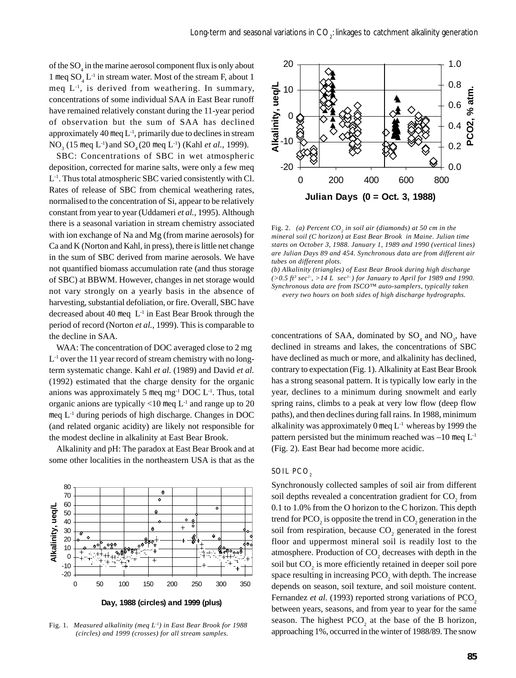of the  ${SO_4}$  in the marine aerosol component flux is only about 1 meq  $SO_4 L^{-1}$  in stream water. Most of the stream F, about 1 meq  $L^{-1}$ , is derived from weathering. In summary, concentrations of some individual SAA in East Bear runoff have remained relatively constant during the 11-year period of observation but the sum of SAA has declined approximately 40 meq L-1, primarily due to declines in stream NO<sub>3</sub> (15 meq L<sup>-1</sup>) and SO<sub>4</sub> (20 meq L<sup>-1</sup>) (Kahl *et al.*, 1999).

SBC: Concentrations of SBC in wet atmospheric deposition, corrected for marine salts, were only a few meq L-1. Thus total atmospheric SBC varied consistently with Cl. Rates of release of SBC from chemical weathering rates, normalised to the concentration of Si, appear to be relatively constant from year to year (Uddameri *et al.*, 1995). Although there is a seasonal variation in stream chemistry associated with ion exchange of Na and Mg (from marine aerosols) for Ca and K (Norton and Kahl, in press), there is little net change in the sum of SBC derived from marine aerosols. We have not quantified biomass accumulation rate (and thus storage of SBC) at BBWM. However, changes in net storage would not vary strongly on a yearly basis in the absence of harvesting, substantial defoliation, or fire. Overall, SBC have decreased about 40 meg  $L^{-1}$  in East Bear Brook through the period of record (Norton *et al.*, 1999). This is comparable to the decline in SAA.

WAA: The concentration of DOC averaged close to 2 mg  $L^{-1}$  over the 11 year record of stream chemistry with no longterm systematic change. Kahl *et al.* (1989) and David *et al.* (1992) estimated that the charge density for the organic anions was approximately 5 meq mg $^{-1}$  DOC L $^{-1}$ . Thus, total organic anions are typically  $<10$  meq  $L^{-1}$  and range up to 20 meq L-1 during periods of high discharge. Changes in DOC (and related organic acidity) are likely not responsible for the modest decline in alkalinity at East Bear Brook.

Alkalinity and pH: The paradox at East Bear Brook and at some other localities in the northeastern USA is that as the



Fig. 1. *Measured alkalinity (meq L-1) in East Bear Brook for 1988 (circles) and 1999 (crosses) for all stream samples.*



Fig. 2. (a) Percent CO<sub>2</sub> in soil air (diamonds) at 50 cm in the *mineral soil (C horizon) at East Bear Brook in Maine. Julian time starts on October 3, 1988. January 1, 1989 and 1990 (vertical lines) are Julian Days 89 and 454. Synchronous data are from different air tubes on different plots.*

*(b) Alkalinity (triangles) of East Bear Brook during high discharge*  $(>0.5 \text{ ft}^3 \text{ sec}^1, >14 \text{ L } \text{ sec}^1)$  for January to April for 1989 and 1990. *Synchronous data are from ISCO™ auto-samplers, typically taken every two hours on both sides of high discharge hydrographs.*

concentrations of SAA, dominated by  $SO_4$  and  $NO_3$ , have declined in streams and lakes, the concentrations of SBC have declined as much or more, and alkalinity has declined, contrary to expectation (Fig. 1). Alkalinity at East Bear Brook has a strong seasonal pattern. It is typically low early in the year, declines to a minimum during snowmelt and early spring rains, climbs to a peak at very low flow (deep flow paths), and then declines during fall rains. In 1988, minimum alkalinity was approximately 0 meq  $L<sup>-1</sup>$  whereas by 1999 the pattern persisted but the minimum reached was  $-10$  meq  $L^{-1}$ (Fig. 2). East Bear had become more acidic.

#### SOIL PCO<sub>2</sub>

Synchronously collected samples of soil air from different soil depths revealed a concentration gradient for  $CO_2$  from 0.1 to 1.0% from the O horizon to the C horizon. This depth trend for PCO<sub>2</sub> is opposite the trend in CO<sub>2</sub> generation in the soil from respiration, because  $CO_2$  generated in the forest floor and uppermost mineral soil is readily lost to the atmosphere. Production of  $CO_2$  decreases with depth in the soil but  $CO_2$  is more efficiently retained in deeper soil pore space resulting in increasing  $PCO<sub>2</sub>$  with depth. The increase depends on season, soil texture, and soil moisture content. Fernandez *et al.* (1993) reported strong variations of PCO<sub>2</sub> between years, seasons, and from year to year for the same season. The highest  $PCO<sub>2</sub>$  at the base of the B horizon, approaching 1%, occurred in the winter of 1988/89. The snow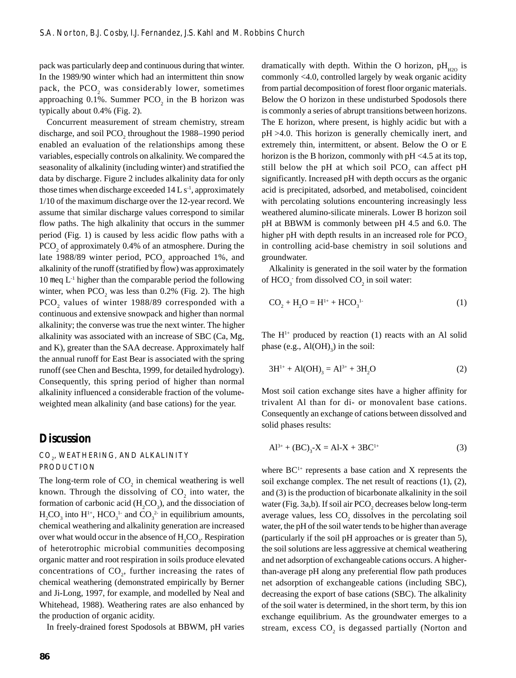pack was particularly deep and continuous during that winter. In the 1989/90 winter which had an intermittent thin snow pack, the  $PCO_2$  was considerably lower, sometimes approaching 0.1%. Summer  $PCO<sub>2</sub>$  in the B horizon was typically about 0.4% (Fig. 2).

Concurrent measurement of stream chemistry, stream discharge, and soil  $PCO<sub>2</sub>$  throughout the 1988–1990 period enabled an evaluation of the relationships among these variables, especially controls on alkalinity. We compared the seasonality of alkalinity (including winter) and stratified the data by discharge. Figure 2 includes alkalinity data for only those times when discharge exceeded  $14 L s<sup>-1</sup>$ , approximately 1/10 of the maximum discharge over the 12-year record. We assume that similar discharge values correspond to similar flow paths. The high alkalinity that occurs in the summer period (Fig. 1) is caused by less acidic flow paths with a PCO<sub>2</sub> of approximately 0.4% of an atmosphere. During the late 1988/89 winter period,  $PCO<sub>2</sub>$  approached 1%, and alkalinity of the runoff (stratified by flow) was approximately 10 meq  $L^{-1}$  higher than the comparable period the following winter, when  $PCO<sub>2</sub>$  was less than 0.2% (Fig. 2). The high  $PCO<sub>2</sub>$  values of winter 1988/89 corresponded with a continuous and extensive snowpack and higher than normal alkalinity; the converse was true the next winter. The higher alkalinity was associated with an increase of SBC (Ca, Mg, and K), greater than the SAA decrease. Approximately half the annual runoff for East Bear is associated with the spring runoff (see Chen and Beschta, 1999, for detailed hydrology). Consequently, this spring period of higher than normal alkalinity influenced a considerable fraction of the volumeweighted mean alkalinity (and base cations) for the year.

### **Discussion**

#### $\mathrm{CO}_\mathrm{\it 2}$ , weathering, and alkalinity PRODUCTION

The long-term role of  $CO<sub>2</sub>$  in chemical weathering is well known. Through the dissolving of  $CO_2$  into water, the formation of carbonic acid  $(H_2CO_3)$ , and the dissociation of  $H_2CO_3$  into  $H^{1+}$ ,  $HCO_3^{-1}$  and  $CO_3^{-2}$  in equilibrium amounts, chemical weathering and alkalinity generation are increased over what would occur in the absence of  $H_2CO_3$ . Respiration of heterotrophic microbial communities decomposing organic matter and root respiration in soils produce elevated concentrations of  $CO<sub>2</sub>$ , further increasing the rates of chemical weathering (demonstrated empirically by Berner and Ji-Long, 1997, for example, and modelled by Neal and Whitehead, 1988). Weathering rates are also enhanced by the production of organic acidity.

In freely-drained forest Spodosols at BBWM, pH varies

dramatically with depth. Within the O horizon,  $pH_{H2O}$  is commonly <4.0, controlled largely by weak organic acidity from partial decomposition of forest floor organic materials. Below the O horizon in these undisturbed Spodosols there is commonly a series of abrupt transitions between horizons. The E horizon, where present, is highly acidic but with a pH >4.0. This horizon is generally chemically inert, and extremely thin, intermittent, or absent. Below the O or E horizon is the B horizon, commonly with  $pH < 4.5$  at its top, still below the pH at which soil  $PCO_2$  can affect pH significantly. Increased pH with depth occurs as the organic acid is precipitated, adsorbed, and metabolised, coincident with percolating solutions encountering increasingly less weathered alumino-silicate minerals. Lower B horizon soil pH at BBWM is commonly between pH 4.5 and 6.0. The higher pH with depth results in an increased role for PCO<sub>2</sub> in controlling acid-base chemistry in soil solutions and groundwater.

Alkalinity is generated in the soil water by the formation of  $HCO_3^-$  from dissolved  $CO_2$  in soil water:

$$
CO_2 + H_2O = H^{1+} + HCO_3^{1-}
$$
 (1)

The  $H<sup>1+</sup>$  produced by reaction (1) reacts with an Al solid phase (e.g.,  $\text{Al(OH)}_{3}$ ) in the soil:

$$
3H^{1+} + Al(OH)_{3} = Al^{3+} + 3H_{2}O
$$
 (2)

Most soil cation exchange sites have a higher affinity for trivalent Al than for di- or monovalent base cations. Consequently an exchange of cations between dissolved and solid phases results:

$$
Al^{3+} + (BC)_{3} - X = Al - X + 3BC^{1+}
$$
 (3)

where  $BC<sup>1+</sup>$  represents a base cation and X represents the soil exchange complex. The net result of reactions (1), (2), and (3) is the production of bicarbonate alkalinity in the soil water (Fig. 3a,b). If soil air  $\text{PCO}_2$  decreases below long-term average values, less  $CO<sub>2</sub>$  dissolves in the percolating soil water, the pH of the soil water tends to be higher than average (particularly if the soil pH approaches or is greater than 5), the soil solutions are less aggressive at chemical weathering and net adsorption of exchangeable cations occurs. A higherthan-average pH along any preferential flow path produces net adsorption of exchangeable cations (including SBC), decreasing the export of base cations (SBC). The alkalinity of the soil water is determined, in the short term, by this ion exchange equilibrium. As the groundwater emerges to a stream, excess  $\mathrm{CO}_2$  is degassed partially (Norton and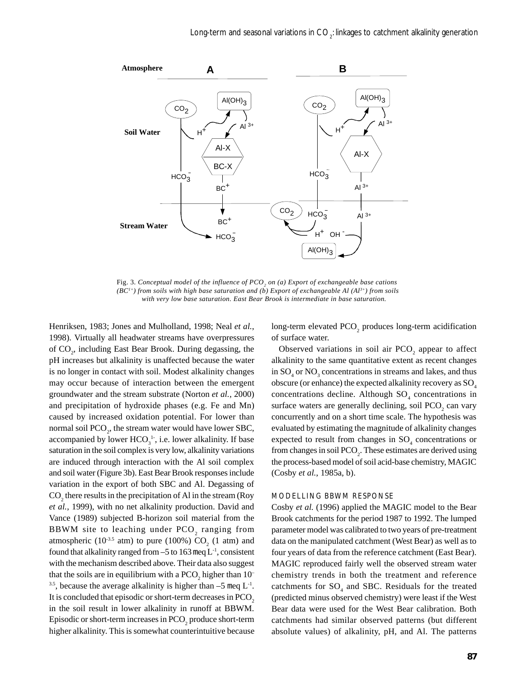

Fig. 3. Conceptual model of the influence of PCO<sub>2</sub> on (a) Export of exchangeable base cations *(BC1+) from soils with high base saturation and (b) Export of exchangeable Al (Al3+) from soils with very low base saturation. East Bear Brook is intermediate in base saturation.*

Henriksen, 1983; Jones and Mulholland, 1998; Neal *et al.*, 1998). Virtually all headwater streams have overpressures of CO<sub>2</sub>, including East Bear Brook. During degassing, the pH increases but alkalinity is unaffected because the water is no longer in contact with soil. Modest alkalinity changes may occur because of interaction between the emergent groundwater and the stream substrate (Norton *et al.*, 2000) and precipitation of hydroxide phases (e.g. Fe and Mn) caused by increased oxidation potential. For lower than normal soil  $\text{PCO}_2$ , the stream water would have lower SBC, accompanied by lower  $HCO_3^{-1}$ , i.e. lower alkalinity. If base saturation in the soil complex is very low, alkalinity variations are induced through interaction with the Al soil complex and soil water (Figure 3b). East Bear Brook responses include variation in the export of both SBC and Al. Degassing of  $\mathrm{CO}_2$  there results in the precipitation of Al in the stream (Roy *et al.*, 1999), with no net alkalinity production. David and Vance (1989) subjected B-horizon soil material from the BBWM site to leaching under  $PCO_2$  ranging from atmospheric (10<sup>-3.5</sup> atm) to pure (100%)  $CO<sub>2</sub>$  (1 atm) and found that alkalinity ranged from  $-5$  to 163 meq  $L^{-1}$ , consistent with the mechanism described above. Their data also suggest that the soils are in equilibrium with a  $\mathrm{PCO}_2$  higher than  $10^-$ <sup>3.5</sup>, because the average alkalinity is higher than  $-5$  meq  $L^{-1}$ . It is concluded that episodic or short-term decreases in PCO<sub>2</sub> in the soil result in lower alkalinity in runoff at BBWM. Episodic or short-term increases in  $\mathrm{PCO}_2$  produce short-term higher alkalinity. This is somewhat counterintuitive because

long-term elevated  $PCO_2$  produces long-term acidification of surface water.

Observed variations in soil air  $PCO<sub>2</sub>$  appear to affect alkalinity to the same quantitative extent as recent changes in  $SO_4$  or  $NO_3$  concentrations in streams and lakes, and thus obscure (or enhance) the expected alkalinity recovery as  $SO<sub>4</sub>$ concentrations decline. Although  $SO<sub>4</sub>$  concentrations in surface waters are generally declining, soil  $PCO_2$  can vary concurrently and on a short time scale. The hypothesis was evaluated by estimating the magnitude of alkalinity changes expected to result from changes in  $SO_4$  concentrations or from changes in soil  $PCO<sub>2</sub>$ . These estimates are derived using the process-based model of soil acid-base chemistry, MAGIC (Cosby *et al.*, 1985a, b).

#### MODELLING BBWM RESPONSE

Cosby *et al.* (1996) applied the MAGIC model to the Bear Brook catchments for the period 1987 to 1992. The lumped parameter model was calibrated to two years of pre-treatment data on the manipulated catchment (West Bear) as well as to four years of data from the reference catchment (East Bear). MAGIC reproduced fairly well the observed stream water chemistry trends in both the treatment and reference catchments for  $SO_4$  and SBC. Residuals for the treated (predicted minus observed chemistry) were least if the West Bear data were used for the West Bear calibration. Both catchments had similar observed patterns (but different absolute values) of alkalinity, pH, and Al. The patterns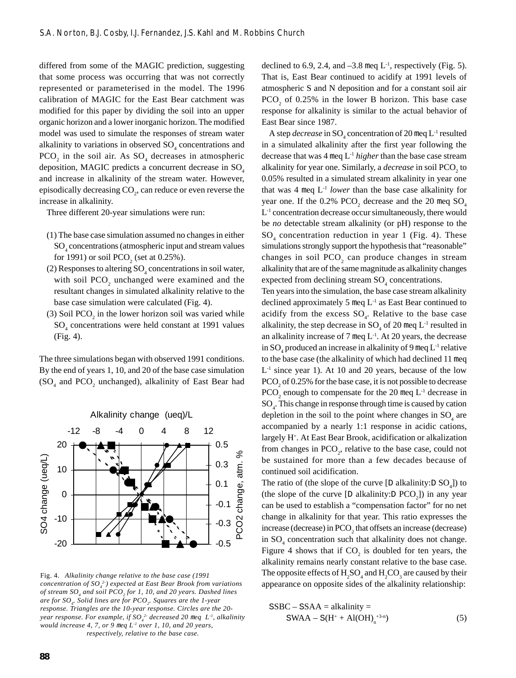differed from some of the MAGIC prediction, suggesting that some process was occurring that was not correctly represented or parameterised in the model. The 1996 calibration of MAGIC for the East Bear catchment was modified for this paper by dividing the soil into an upper organic horizon and a lower inorganic horizon. The modified model was used to simulate the responses of stream water alkalinity to variations in observed  $SO_4$  concentrations and  $PCO<sub>2</sub>$  in the soil air. As  $SO<sub>4</sub>$  decreases in atmospheric deposition, MAGIC predicts a concurrent decrease in  $SO<sub>4</sub>$ and increase in alkalinity of the stream water. However, episodically decreasing  $CO<sub>2</sub>$ , can reduce or even reverse the increase in alkalinity.

Three different 20-year simulations were run:

- (1) The base case simulation assumed no changes in either SO4 concentrations (atmospheric input and stream values for 1991) or soil  $PCO<sub>2</sub>$  (set at 0.25%).
- (2) Responses to altering  $SO_4$  concentrations in soil water, with soil  $PCO_2$  unchanged were examined and the resultant changes in simulated alkalinity relative to the base case simulation were calculated (Fig. 4).
- (3) Soil  $PCO<sub>2</sub>$  in the lower horizon soil was varied while SO4 concentrations were held constant at 1991 values (Fig. 4).

The three simulations began with observed 1991 conditions. By the end of years 1, 10, and 20 of the base case simulation  $(SO<sub>4</sub>$  and PCO<sub>2</sub> unchanged), alkalinity of East Bear had



Fig. 4. *Alkalinity change relative to the base case (1991 concentration of SO4 2-) expected at East Bear Brook from variations of stream SO4 and soil PCO2 for 1, 10, and 20 years. Dashed lines are for SO4 . Solid lines are for PCO2 . Squares are the 1-year response. Triangles are the 10-year response. Circles are the 20 year response. For example, if SO4 2- decreased 20* m*eq L-1, alkalinity would increase 4, 7, or 9* m*eq L-1 over 1, 10, and 20 years, respectively, relative to the base case.*

declined to 6.9, 2.4, and  $-3.8$  meq L<sup>-1</sup>, respectively (Fig. 5). That is, East Bear continued to acidify at 1991 levels of atmospheric S and N deposition and for a constant soil air  $PCO<sub>2</sub>$  of 0.25% in the lower B horizon. This base case response for alkalinity is similar to the actual behavior of East Bear since 1987.

A step *decrease* in SO<sub>4</sub> concentration of 20 meq L<sup>-1</sup> resulted in a simulated alkalinity after the first year following the decrease that was 4 meq L-1 *higher* than the base case stream alkalinity for year one. Similarly, a  $\emph{decrease}$  in soil  $\text{PCO}_2^{}$  to 0.05% resulted in a simulated stream alkalinity in year one that was  $4 \text{ meq } L^{-1}$  *lower* than the base case alkalinity for year one. If the  $0.2\%$  PCO<sub>2</sub> decrease and the 20 meq SO<sub>4</sub> L<sup>-1</sup> concentration decrease occur simultaneously, there would be *no* detectable stream alkalinity (or pH) response to the  $SO<sub>4</sub>$  concentration reduction in year 1 (Fig. 4). These simulations strongly support the hypothesis that "reasonable" changes in soil  $PCO<sub>2</sub>$  can produce changes in stream alkalinity that are of the same magnitude as alkalinity changes expected from declining stream  $SO<sub>4</sub>$  concentrations.

Ten years into the simulation, the base case stream alkalinity declined approximately 5 meq  $L<sup>-1</sup>$  as East Bear continued to acidify from the excess  $SO_4$ . Relative to the base case alkalinity, the step decrease in  $SO_4$  of 20 meq  $L^{-1}$  resulted in an alkalinity increase of 7 meq  $L^{-1}$ . At 20 years, the decrease in SO<sub>4</sub> produced an increase in alkalinity of 9 meq  $L^1$  relative to the base case (the alkalinity of which had declined 11 meq  $L<sup>-1</sup>$  since year 1). At 10 and 20 years, because of the low  $PCO<sub>2</sub>$  of 0.25% for the base case, it is not possible to decrease  $PCO<sub>2</sub>$  enough to compensate for the 20 meq L<sup>-1</sup> decrease in  $\mathrm{SO}_4$ . This change in response through time is caused by cation depletion in the soil to the point where changes in  $SO_4$  are accompanied by a nearly 1:1 response in acidic cations, largely H+. At East Bear Brook, acidification or alkalization from changes in  $PCO<sub>2</sub>$ , relative to the base case, could not be sustained for more than a few decades because of continued soil acidification.

The ratio of (the slope of the curve [D alkalinity:  $D SO_4$ ]) to (the slope of the curve  $[D$  alkalinity: $D PCO_2]$ ) in any year can be used to establish a "compensation factor" for no net change in alkalinity for that year. This ratio expresses the increase (decrease) in  $\text{PCO}_2$  that offsets an increase (decrease) in  $SO_4$  concentration such that alkalinity does not change. Figure 4 shows that if  $CO_2$  is doubled for ten years, the alkalinity remains nearly constant relative to the base case. The opposite effects of  $H_2SO_4$  and  $H_2CO_3$  are caused by their appearance on opposite sides of the alkalinity relationship:

$$
SSBC - SSAA = alkalinity =
$$
  
\n
$$
SWAA - S(H^{+} + Al(OH)_{n}^{+3-n})
$$
\n(5)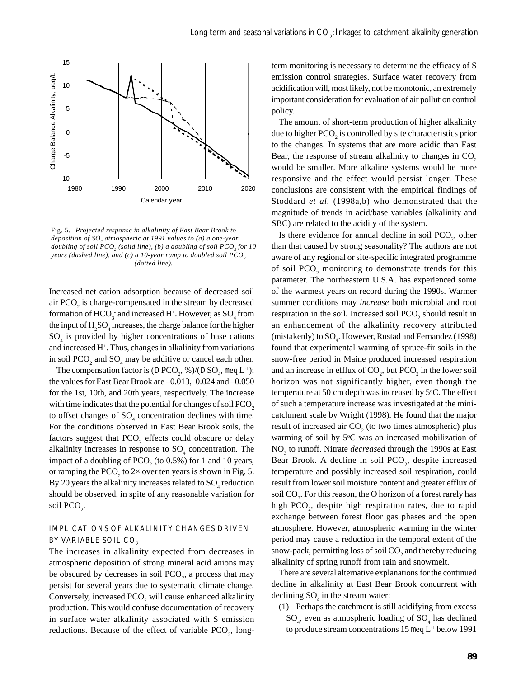

Fig. 5. *Projected response in alkalinity of East Bear Brook to deposition of SO4 atmospheric at 1991 values to (a) a one-year* doubling of soil PCO<sub>2</sub> (solid line), (b) a doubling of soil PCO<sub>2</sub> for 10 *years (dashed line), and (c) a 10-year ramp to doubled soil PCO<sub>2</sub> (dotted line).*

Increased net cation adsorption because of decreased soil air  $PCO<sub>2</sub>$  is charge-compensated in the stream by decreased formation of  $HCO_3^-$  and increased H<sup>+</sup>. However, as  $SO_4$  from the input of  $H_2SO_4$  increases, the charge balance for the higher SO4 is provided by higher concentrations of base cations and increased H<sup>+</sup>. Thus, changes in alkalinity from variations in soil  $PCO_2$  and  $SO_4$  may be additive or cancel each other.

The compensation factor is (D PCO<sub>2</sub>, %)/(D SO<sub>4</sub>, meq L<sup>-1</sup>); the values for East Bear Brook are –0.013, 0.024 and –0.050 for the 1st, 10th, and 20th years, respectively. The increase with time indicates that the potential for changes of soil PCO<sub>2</sub> to offset changes of  $SO_4$  concentration declines with time. For the conditions observed in East Bear Brook soils, the factors suggest that  $PCO_2$  effects could obscure or delay alkalinity increases in response to  $SO<sub>4</sub>$  concentration. The impact of a doubling of  $PCO<sub>2</sub>$  (to 0.5%) for 1 and 10 years, or ramping the PCO<sub>2</sub> to 2× over ten years is shown in Fig. 5. By 20 years the alkalinity increases related to  $\mathrm{SO}_4$  reduction should be observed, in spite of any reasonable variation for soil  $PCO_2$ .

#### IMPLICATIONS OF ALKALINITY CHANGES DRIVEN BY VARIABLE SOIL CO<sub>2</sub>

The increases in alkalinity expected from decreases in atmospheric deposition of strong mineral acid anions may be obscured by decreases in soil  $PCO<sub>2</sub>$ , a process that may persist for several years due to systematic climate change. Conversely, increased  $PCO_2$  will cause enhanced alkalinity production. This would confuse documentation of recovery in surface water alkalinity associated with S emission reductions. Because of the effect of variable  $PCO<sub>2</sub>$ , longterm monitoring is necessary to determine the efficacy of S emission control strategies. Surface water recovery from acidification will, most likely, not be monotonic, an extremely important consideration for evaluation of air pollution control policy.

The amount of short-term production of higher alkalinity due to higher  $\text{PCO}_2$  is controlled by site characteristics prior to the changes. In systems that are more acidic than East Bear, the response of stream alkalinity to changes in  $CO<sub>2</sub>$ would be smaller. More alkaline systems would be more responsive and the effect would persist longer. These conclusions are consistent with the empirical findings of Stoddard *et al.* (1998a,b) who demonstrated that the magnitude of trends in acid/base variables (alkalinity and SBC) are related to the acidity of the system.

Is there evidence for annual decline in soil  $PCO<sub>2</sub>$ , other than that caused by strong seasonality? The authors are not aware of any regional or site-specific integrated programme of soil  $PCO<sub>2</sub>$  monitoring to demonstrate trends for this parameter. The northeastern U.S.A. has experienced some of the warmest years on record during the 1990s. Warmer summer conditions may *increase* both microbial and root respiration in the soil. Increased soil  $PCO_2$  should result in an enhancement of the alkalinity recovery attributed (mistakenly) to  $\text{SO}_4$ . However, Rustad and Fernandez (1998) found that experimental warming of spruce-fir soils in the snow-free period in Maine produced increased respiration and an increase in efflux of  $CO_2$ , but  $PCO_2$  in the lower soil horizon was not significantly higher, even though the temperature at 50 cm depth was increased by 5°C. The effect of such a temperature increase was investigated at the minicatchment scale by Wright (1998). He found that the major result of increased air  $CO<sub>2</sub>$  (to two times atmospheric) plus warming of soil by 5°C was an increased mobilization of NO<sub>3</sub> to runoff. Nitrate *decreased* through the 1990s at East Bear Brook. A decline in soil  $PCO<sub>2</sub>$ , despite increased temperature and possibly increased soil respiration, could result from lower soil moisture content and greater efflux of soil  $\mathrm{CO}_2$ . For this reason, the O horizon of a forest rarely has high  $PCO<sub>2</sub>$ , despite high respiration rates, due to rapid exchange between forest floor gas phases and the open atmosphere. However, atmospheric warming in the winter period may cause a reduction in the temporal extent of the snow-pack, permitting loss of soil  $\mathrm{CO}_2$  and thereby reducing alkalinity of spring runoff from rain and snowmelt.

There are several alternative explanations for the continued decline in alkalinity at East Bear Brook concurrent with declining  $SO_4$  in the stream water:

(1) Perhaps the catchment is still acidifying from excess  $SO_4$ , even as atmospheric loading of  $SO_4$  has declined to produce stream concentrations 15 meq L-1 below 1991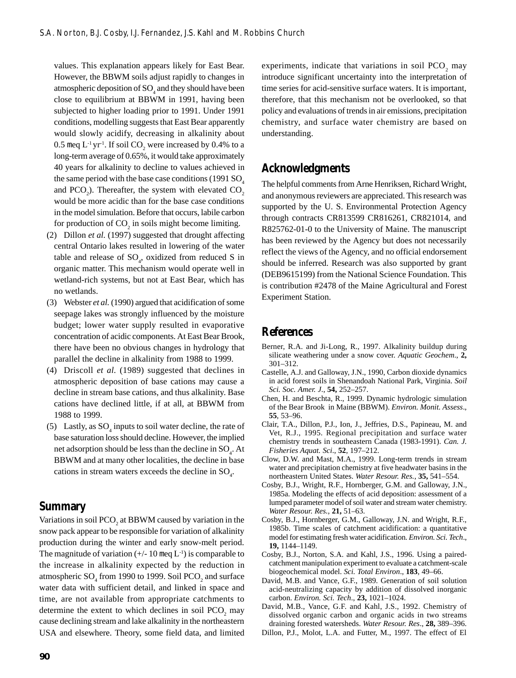values. This explanation appears likely for East Bear. However, the BBWM soils adjust rapidly to changes in atmospheric deposition of  ${SO}_4$  and they should have been close to equilibrium at BBWM in 1991, having been subjected to higher loading prior to 1991. Under 1991 conditions, modelling suggests that East Bear apparently would slowly acidify, decreasing in alkalinity about 0.5 meq  $L^{-1}$  yr<sup>-1</sup>. If soil  $CO_2$  were increased by 0.4% to a long-term average of 0.65%, it would take approximately 40 years for alkalinity to decline to values achieved in the same period with the base case conditions  $(1991 SQ<sub>4</sub>)$ and PCO<sub>2</sub>). Thereafter, the system with elevated  $CO_2$ would be more acidic than for the base case conditions in the model simulation. Before that occurs, labile carbon for production of  $CO<sub>2</sub>$  in soils might become limiting.

- (2) Dillon *et al.* (1997) suggested that drought affecting central Ontario lakes resulted in lowering of the water table and release of  $SO_4$ , oxidized from reduced S in organic matter. This mechanism would operate well in wetland-rich systems, but not at East Bear, which has no wetlands.
- (3) Webster *et al.* (1990) argued that acidification of some seepage lakes was strongly influenced by the moisture budget; lower water supply resulted in evaporative concentration of acidic components. At East Bear Brook, there have been no obvious changes in hydrology that parallel the decline in alkalinity from 1988 to 1999.
- (4) Driscoll *et al.* (1989) suggested that declines in atmospheric deposition of base cations may cause a decline in stream base cations, and thus alkalinity. Base cations have declined little, if at all, at BBWM from 1988 to 1999.
- (5) Lastly, as  $SO_4$  inputs to soil water decline, the rate of base saturation loss should decline. However, the implied net adsorption should be less than the decline in  $\text{SO}_4$ . At BBWM and at many other localities, the decline in base cations in stream waters exceeds the decline in  $\text{SO}_4$ .

#### **Summary**

Variations in soil  $PCO<sub>2</sub>$  at BBWM caused by variation in the snow pack appear to be responsible for variation of alkalinity production during the winter and early snow-melt period. The magnitude of variation  $(+/- 10 \text{ meq L}^{-1})$  is comparable to the increase in alkalinity expected by the reduction in atmospheric  $\text{SO}_4$  from 1990 to 1999. Soil PCO<sub>2</sub> and surface water data with sufficient detail, and linked in space and time, are not available from appropriate catchments to determine the extent to which declines in soil  $PCO_2$  may cause declining stream and lake alkalinity in the northeastern USA and elsewhere. Theory, some field data, and limited

experiments, indicate that variations in soil  $PCO_2$  may introduce significant uncertainty into the interpretation of time series for acid-sensitive surface waters. It is important, therefore, that this mechanism not be overlooked, so that policy and evaluations of trends in air emissions, precipitation chemistry, and surface water chemistry are based on understanding.

## **Acknowledgments**

The helpful comments from Arne Henriksen, Richard Wright, and anonymous reviewers are appreciated. This research was supported by the U. S. Environmental Protection Agency through contracts CR813599 CR816261, CR821014, and R825762-01-0 to the University of Maine. The manuscript has been reviewed by the Agency but does not necessarily reflect the views of the Agency, and no official endorsement should be inferred. Research was also supported by grant (DEB9615199) from the National Science Foundation. This is contribution #2478 of the Maine Agricultural and Forest Experiment Station.

## **References**

- Berner, R.A. and Ji-Long, R., 1997. Alkalinity buildup during silicate weathering under a snow cover. *Aquatic Geochem*., **2,** 301–312.
- Castelle, A.J. and Galloway, J.N., 1990, Carbon dioxide dynamics in acid forest soils in Shenandoah National Park, Virginia. *Soil Sci. Soc. Amer. J*., **54,** 252–257.
- Chen, H. and Beschta, R., 1999. Dynamic hydrologic simulation of the Bear Brook in Maine (BBWM). *Environ. Monit. Assess*., **55**, 53–96.
- Clair, T.A., Dillon, P.J., Ion, J., Jeffries, D.S., Papineau, M. and Vet, R.J., 1995. Regional precipitation and surface water chemistry trends in southeastern Canada (1983-1991). *Can. J. Fisheries Aquat. Sci*., **52**, 197–212.
- Clow, D.W. and Mast, M.A., 1999. Long-term trends in stream water and precipitation chemistry at five headwater basins in the northeastern United States. *Water Resour. Res.*, **35,** 541–554.
- Cosby, B.J., Wright, R.F., Hornberger, G.M. and Galloway, J.N., 1985a. Modeling the effects of acid deposition: assessment of a lumped parameter model of soil water and stream water chemistry. *Water Resour. Res.*, **21,** 51–63.
- Cosby, B.J., Hornberger, G.M., Galloway, J.N. and Wright, R.F., 1985b. Time scales of catchment acidification: a quantitative model for estimating fresh water acidification. *Environ. Sci. Tech*., **19,** 1144–1149.
- Cosby, B.J., Norton, S.A. and Kahl, J.S., 1996. Using a pairedcatchment manipulation experiment to evaluate a catchment-scale biogeochemical model. *Sci. Total Environ*., **183**, 49–66.
- David, M.B. and Vance, G.F., 1989. Generation of soil solution acid-neutralizing capacity by addition of dissolved inorganic carbon. *Environ. Sci. Tech*., **23,** 1021–1024.
- David, M.B., Vance, G.F. and Kahl, J.S., 1992. Chemistry of dissolved organic carbon and organic acids in two streams draining forested watersheds. *Water Resour. Res*., **28,** 389–396.
- Dillon, P.J., Molot, L.A. and Futter, M., 1997. The effect of El